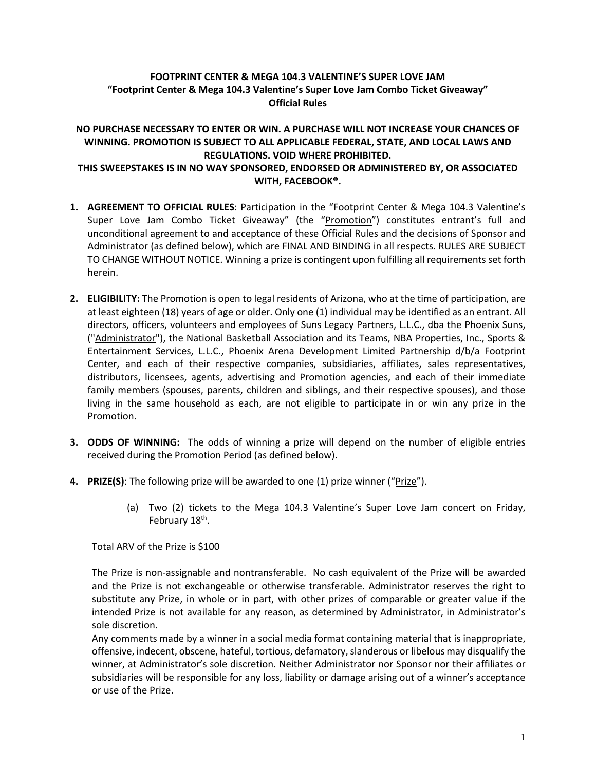## **FOOTPRINT CENTER & MEGA 104.3 VALENTINE'S SUPER LOVE JAM "Footprint Center & Mega 104.3 Valentine's Super Love Jam Combo Ticket Giveaway" Official Rules**

## **NO PURCHASE NECESSARY TO ENTER OR WIN. A PURCHASE WILL NOT INCREASE YOUR CHANCES OF WINNING. PROMOTION IS SUBJECT TO ALL APPLICABLE FEDERAL, STATE, AND LOCAL LAWS AND REGULATIONS. VOID WHERE PROHIBITED. THIS SWEEPSTAKES IS IN NO WAY SPONSORED, ENDORSED OR ADMINISTERED BY, OR ASSOCIATED WITH, FACEBOOK®.**

- **1. AGREEMENT TO OFFICIAL RULES**: Participation in the "Footprint Center & Mega 104.3 Valentine's Super Love Jam Combo Ticket Giveaway" (the "Promotion") constitutes entrant's full and unconditional agreement to and acceptance of these Official Rules and the decisions of Sponsor and Administrator (as defined below), which are FINAL AND BINDING in all respects. RULES ARE SUBJECT TO CHANGE WITHOUT NOTICE. Winning a prize is contingent upon fulfilling all requirements set forth herein.
- **2. ELIGIBILITY:** The Promotion is open to legal residents of Arizona, who at the time of participation, are at least eighteen (18) years of age or older. Only one (1) individual may be identified as an entrant. All directors, officers, volunteers and employees of Suns Legacy Partners, L.L.C., dba the Phoenix Suns, ("Administrator"), the National Basketball Association and its Teams, NBA Properties, Inc., Sports & Entertainment Services, L.L.C., Phoenix Arena Development Limited Partnership d/b/a Footprint Center, and each of their respective companies, subsidiaries, affiliates, sales representatives, distributors, licensees, agents, advertising and Promotion agencies, and each of their immediate family members (spouses, parents, children and siblings, and their respective spouses), and those living in the same household as each, are not eligible to participate in or win any prize in the Promotion.
- **3. ODDS OF WINNING:** The odds of winning a prize will depend on the number of eligible entries received during the Promotion Period (as defined below).
- **4. PRIZE(S)**: The following prize will be awarded to one (1) prize winner ("Prize").
	- (a) Two (2) tickets to the Mega 104.3 Valentine's Super Love Jam concert on Friday, February 18<sup>th</sup>.

Total ARV of the Prize is \$100

The Prize is non-assignable and nontransferable. No cash equivalent of the Prize will be awarded and the Prize is not exchangeable or otherwise transferable. Administrator reserves the right to substitute any Prize, in whole or in part, with other prizes of comparable or greater value if the intended Prize is not available for any reason, as determined by Administrator, in Administrator's sole discretion.

Any comments made by a winner in a social media format containing material that is inappropriate, offensive, indecent, obscene, hateful, tortious, defamatory, slanderous or libelous may disqualify the winner, at Administrator's sole discretion. Neither Administrator nor Sponsor nor their affiliates or subsidiaries will be responsible for any loss, liability or damage arising out of a winner's acceptance or use of the Prize.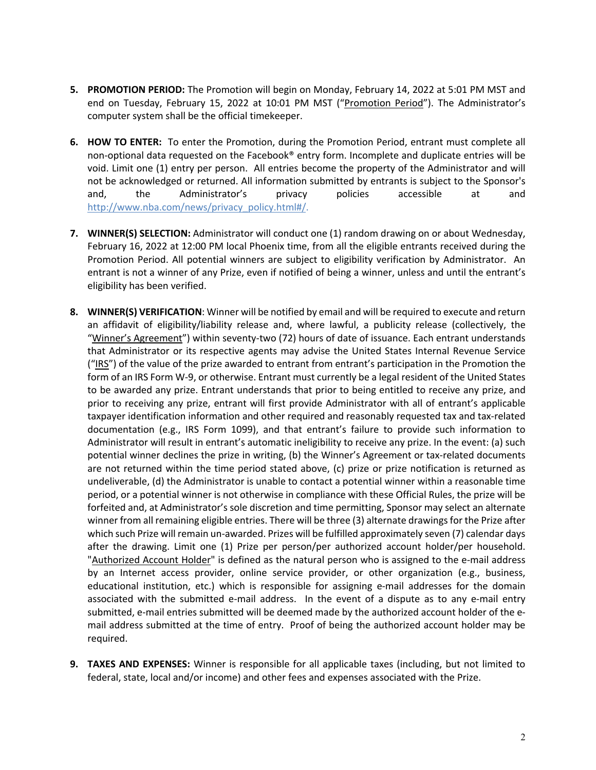- **5. PROMOTION PERIOD:** The Promotion will begin on Monday, February 14, 2022 at 5:01 PM MST and end on Tuesday, February 15, 2022 at 10:01 PM MST ("Promotion Period"). The Administrator's computer system shall be the official timekeeper.
- **6. HOW TO ENTER:** To enter the Promotion, during the Promotion Period, entrant must complete all non-optional data requested on the Facebook® entry form. Incomplete and duplicate entries will be void. Limit one (1) entry per person. All entries become the property of the Administrator and will not be acknowledged or returned. All information submitted by entrants is subject to the Sponsor's and, the Administrator's privacy policies accessible at and http://www.nba.com/news/privacy\_policy.html#/.
- **7. WINNER(S) SELECTION:** Administrator will conduct one (1) random drawing on or about Wednesday, February 16, 2022 at 12:00 PM local Phoenix time, from all the eligible entrants received during the Promotion Period. All potential winners are subject to eligibility verification by Administrator. An entrant is not a winner of any Prize, even if notified of being a winner, unless and until the entrant's eligibility has been verified.
- **8. WINNER(S) VERIFICATION**: Winner will be notified by email and will be required to execute and return an affidavit of eligibility/liability release and, where lawful, a publicity release (collectively, the "Winner's Agreement") within seventy-two (72) hours of date of issuance. Each entrant understands that Administrator or its respective agents may advise the United States Internal Revenue Service ("IRS") of the value of the prize awarded to entrant from entrant's participation in the Promotion the form of an IRS Form W-9, or otherwise. Entrant must currently be a legal resident of the United States to be awarded any prize. Entrant understands that prior to being entitled to receive any prize, and prior to receiving any prize, entrant will first provide Administrator with all of entrant's applicable taxpayer identification information and other required and reasonably requested tax and tax-related documentation (e.g., IRS Form 1099), and that entrant's failure to provide such information to Administrator will result in entrant's automatic ineligibility to receive any prize. In the event: (a) such potential winner declines the prize in writing, (b) the Winner's Agreement or tax-related documents are not returned within the time period stated above, (c) prize or prize notification is returned as undeliverable, (d) the Administrator is unable to contact a potential winner within a reasonable time period, or a potential winner is not otherwise in compliance with these Official Rules, the prize will be forfeited and, at Administrator's sole discretion and time permitting, Sponsor may select an alternate winner from all remaining eligible entries. There will be three (3) alternate drawings for the Prize after which such Prize will remain un-awarded. Prizes will be fulfilled approximately seven (7) calendar days after the drawing. Limit one (1) Prize per person/per authorized account holder/per household. "Authorized Account Holder" is defined as the natural person who is assigned to the e-mail address by an Internet access provider, online service provider, or other organization (e.g., business, educational institution, etc.) which is responsible for assigning e-mail addresses for the domain associated with the submitted e-mail address. In the event of a dispute as to any e-mail entry submitted, e-mail entries submitted will be deemed made by the authorized account holder of the email address submitted at the time of entry. Proof of being the authorized account holder may be required.
- **9. TAXES AND EXPENSES:** Winner is responsible for all applicable taxes (including, but not limited to federal, state, local and/or income) and other fees and expenses associated with the Prize.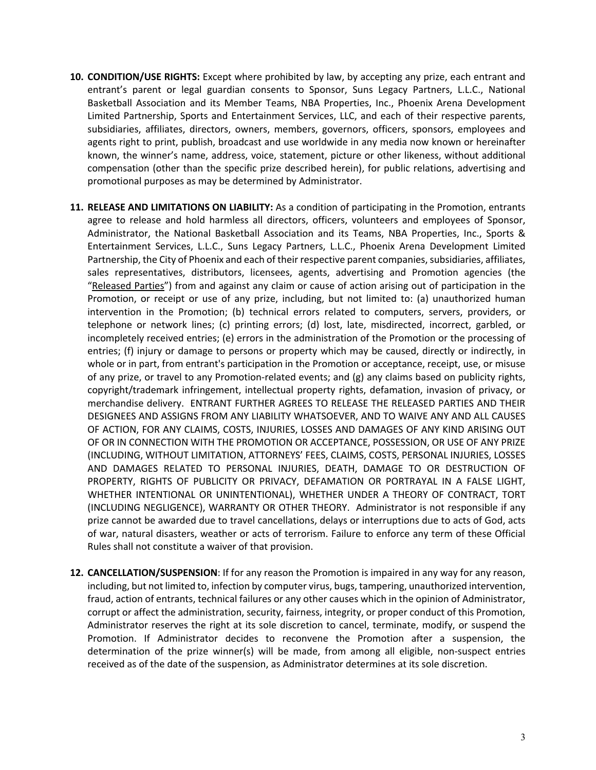- **10. CONDITION/USE RIGHTS:** Except where prohibited by law, by accepting any prize, each entrant and entrant's parent or legal guardian consents to Sponsor, Suns Legacy Partners, L.L.C., National Basketball Association and its Member Teams, NBA Properties, Inc., Phoenix Arena Development Limited Partnership, Sports and Entertainment Services, LLC, and each of their respective parents, subsidiaries, affiliates, directors, owners, members, governors, officers, sponsors, employees and agents right to print, publish, broadcast and use worldwide in any media now known or hereinafter known, the winner's name, address, voice, statement, picture or other likeness, without additional compensation (other than the specific prize described herein), for public relations, advertising and promotional purposes as may be determined by Administrator.
- **11. RELEASE AND LIMITATIONS ON LIABILITY:** As a condition of participating in the Promotion, entrants agree to release and hold harmless all directors, officers, volunteers and employees of Sponsor, Administrator, the National Basketball Association and its Teams, NBA Properties, Inc., Sports & Entertainment Services, L.L.C., Suns Legacy Partners, L.L.C., Phoenix Arena Development Limited Partnership, the City of Phoenix and each of their respective parent companies, subsidiaries, affiliates, sales representatives, distributors, licensees, agents, advertising and Promotion agencies (the "Released Parties") from and against any claim or cause of action arising out of participation in the Promotion, or receipt or use of any prize, including, but not limited to: (a) unauthorized human intervention in the Promotion; (b) technical errors related to computers, servers, providers, or telephone or network lines; (c) printing errors; (d) lost, late, misdirected, incorrect, garbled, or incompletely received entries; (e) errors in the administration of the Promotion or the processing of entries; (f) injury or damage to persons or property which may be caused, directly or indirectly, in whole or in part, from entrant's participation in the Promotion or acceptance, receipt, use, or misuse of any prize, or travel to any Promotion-related events; and (g) any claims based on publicity rights, copyright/trademark infringement, intellectual property rights, defamation, invasion of privacy, or merchandise delivery. ENTRANT FURTHER AGREES TO RELEASE THE RELEASED PARTIES AND THEIR DESIGNEES AND ASSIGNS FROM ANY LIABILITY WHATSOEVER, AND TO WAIVE ANY AND ALL CAUSES OF ACTION, FOR ANY CLAIMS, COSTS, INJURIES, LOSSES AND DAMAGES OF ANY KIND ARISING OUT OF OR IN CONNECTION WITH THE PROMOTION OR ACCEPTANCE, POSSESSION, OR USE OF ANY PRIZE (INCLUDING, WITHOUT LIMITATION, ATTORNEYS' FEES, CLAIMS, COSTS, PERSONAL INJURIES, LOSSES AND DAMAGES RELATED TO PERSONAL INJURIES, DEATH, DAMAGE TO OR DESTRUCTION OF PROPERTY, RIGHTS OF PUBLICITY OR PRIVACY, DEFAMATION OR PORTRAYAL IN A FALSE LIGHT, WHETHER INTENTIONAL OR UNINTENTIONAL), WHETHER UNDER A THEORY OF CONTRACT, TORT (INCLUDING NEGLIGENCE), WARRANTY OR OTHER THEORY. Administrator is not responsible if any prize cannot be awarded due to travel cancellations, delays or interruptions due to acts of God, acts of war, natural disasters, weather or acts of terrorism. Failure to enforce any term of these Official Rules shall not constitute a waiver of that provision.
- **12. CANCELLATION/SUSPENSION**: If for any reason the Promotion is impaired in any way for any reason, including, but not limited to, infection by computer virus, bugs, tampering, unauthorized intervention, fraud, action of entrants, technical failures or any other causes which in the opinion of Administrator, corrupt or affect the administration, security, fairness, integrity, or proper conduct of this Promotion, Administrator reserves the right at its sole discretion to cancel, terminate, modify, or suspend the Promotion. If Administrator decides to reconvene the Promotion after a suspension, the determination of the prize winner(s) will be made, from among all eligible, non-suspect entries received as of the date of the suspension, as Administrator determines at its sole discretion.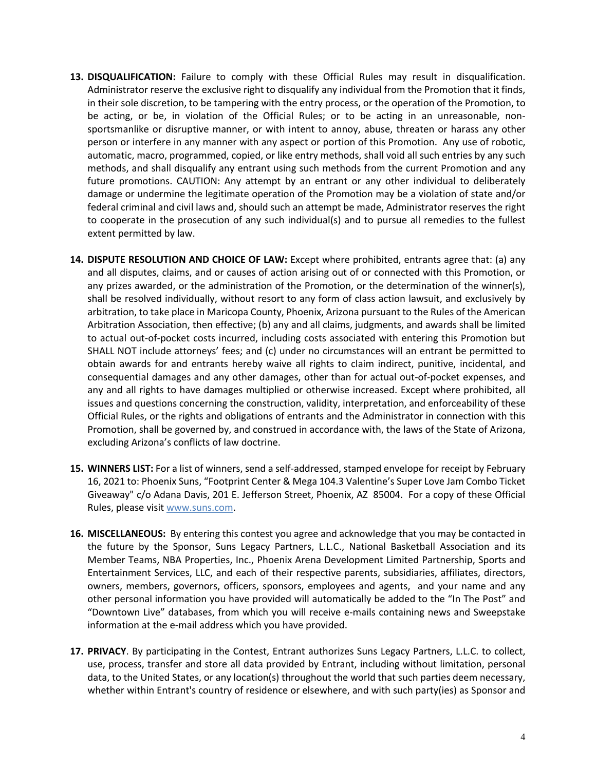- **13. DISQUALIFICATION:** Failure to comply with these Official Rules may result in disqualification. Administrator reserve the exclusive right to disqualify any individual from the Promotion that it finds, in their sole discretion, to be tampering with the entry process, or the operation of the Promotion, to be acting, or be, in violation of the Official Rules; or to be acting in an unreasonable, nonsportsmanlike or disruptive manner, or with intent to annoy, abuse, threaten or harass any other person or interfere in any manner with any aspect or portion of this Promotion. Any use of robotic, automatic, macro, programmed, copied, or like entry methods, shall void all such entries by any such methods, and shall disqualify any entrant using such methods from the current Promotion and any future promotions. CAUTION: Any attempt by an entrant or any other individual to deliberately damage or undermine the legitimate operation of the Promotion may be a violation of state and/or federal criminal and civil laws and, should such an attempt be made, Administrator reserves the right to cooperate in the prosecution of any such individual(s) and to pursue all remedies to the fullest extent permitted by law.
- **14. DISPUTE RESOLUTION AND CHOICE OF LAW:** Except where prohibited, entrants agree that: (a) any and all disputes, claims, and or causes of action arising out of or connected with this Promotion, or any prizes awarded, or the administration of the Promotion, or the determination of the winner(s), shall be resolved individually, without resort to any form of class action lawsuit, and exclusively by arbitration, to take place in Maricopa County, Phoenix, Arizona pursuant to the Rules of the American Arbitration Association, then effective; (b) any and all claims, judgments, and awards shall be limited to actual out-of-pocket costs incurred, including costs associated with entering this Promotion but SHALL NOT include attorneys' fees; and (c) under no circumstances will an entrant be permitted to obtain awards for and entrants hereby waive all rights to claim indirect, punitive, incidental, and consequential damages and any other damages, other than for actual out-of-pocket expenses, and any and all rights to have damages multiplied or otherwise increased. Except where prohibited, all issues and questions concerning the construction, validity, interpretation, and enforceability of these Official Rules, or the rights and obligations of entrants and the Administrator in connection with this Promotion, shall be governed by, and construed in accordance with, the laws of the State of Arizona, excluding Arizona's conflicts of law doctrine.
- **15. WINNERS LIST:** For a list of winners, send a self-addressed, stamped envelope for receipt by February 16, 2021 to: Phoenix Suns, "Footprint Center & Mega 104.3 Valentine's Super Love Jam Combo Ticket Giveaway" c/o Adana Davis, 201 E. Jefferson Street, Phoenix, AZ 85004. For a copy of these Official Rules, please visit www.suns.com.
- **16. MISCELLANEOUS:** By entering this contest you agree and acknowledge that you may be contacted in the future by the Sponsor, Suns Legacy Partners, L.L.C., National Basketball Association and its Member Teams, NBA Properties, Inc., Phoenix Arena Development Limited Partnership, Sports and Entertainment Services, LLC, and each of their respective parents, subsidiaries, affiliates, directors, owners, members, governors, officers, sponsors, employees and agents, and your name and any other personal information you have provided will automatically be added to the "In The Post" and "Downtown Live" databases, from which you will receive e-mails containing news and Sweepstake information at the e-mail address which you have provided.
- **17. PRIVACY**. By participating in the Contest, Entrant authorizes Suns Legacy Partners, L.L.C. to collect, use, process, transfer and store all data provided by Entrant, including without limitation, personal data, to the United States, or any location(s) throughout the world that such parties deem necessary, whether within Entrant's country of residence or elsewhere, and with such party(ies) as Sponsor and